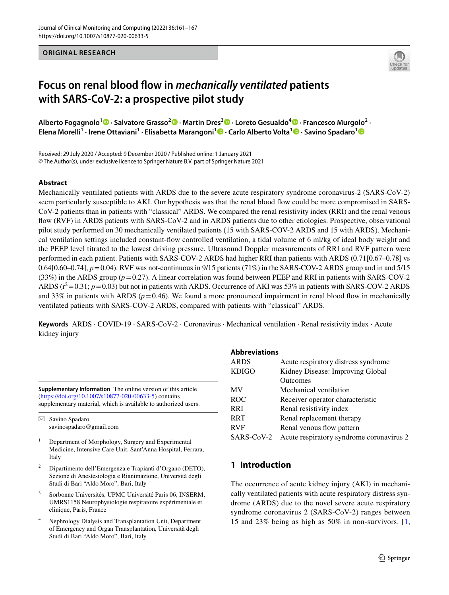#### **ORIGINAL RESEARCH**



# **Focus on renal blood fow in** *mechanically ventilated* **patients with SARS-CoV-2: a prospective pilot study**

**Alberto Fogagnolo1  [·](https://orcid.org/0000-0002-2737-0162) Salvatore Grasso2  [·](https://orcid.org/0000-0002-0287-0232) Martin Dres3  [·](https://orcid.org/0000-0001-9191-6089) Loreto Gesualdo4  [·](https://orcid.org/0000-0002-4861-0911) Francesco Murgolo2 · Elena Morelli1 · Irene Ottaviani1 · Elisabetta Marangoni1  [·](https://orcid.org/0000-0002-9081-9946) Carlo Alberto Volta1 · Savino Spadaro[1](http://orcid.org/0000-0001-5027-5318)**

Received: 29 July 2020 / Accepted: 9 December 2020 / Published online: 1 January 2021 © The Author(s), under exclusive licence to Springer Nature B.V. part of Springer Nature 2021

#### **Abstract**

Mechanically ventilated patients with ARDS due to the severe acute respiratory syndrome coronavirus-2 (SARS-CoV-2) seem particularly susceptible to AKI. Our hypothesis was that the renal blood fow could be more compromised in SARS-CoV-2 patients than in patients with "classical" ARDS. We compared the renal resistivity index (RRI) and the renal venous fow (RVF) in ARDS patients with SARS-CoV-2 and in ARDS patients due to other etiologies. Prospective, observational pilot study performed on 30 mechanically ventilated patients (15 with SARS-COV-2 ARDS and 15 with ARDS). Mechanical ventilation settings included constant-fow controlled ventilation, a tidal volume of 6 ml/kg of ideal body weight and the PEEP level titrated to the lowest driving pressure. Ultrasound Doppler measurements of RRI and RVF pattern were performed in each patient. Patients with SARS-COV-2 ARDS had higher RRI than patients with ARDS (0.71[0.67–0.78] vs 0.64[0.60–0.74],  $p = 0.04$ ). RVF was not-continuous in 9/15 patients (71%) in the SARS-COV-2 ARDS group and in and 5/15 (33%) in the ARDS group (*p*=0.27). A linear correlation was found between PEEP and RRI in patients with SARS-COV-2 ARDS  $(r^2=0.31; p=0.03)$  but not in patients with ARDS. Occurrence of AKI was 53% in patients with SARS-COV-2 ARDS and 33% in patients with ARDS ( $p=0.46$ ). We found a more pronounced impairment in renal blood flow in mechanically ventilated patients with SARS-COV-2 ARDS, compared with patients with "classical" ARDS.

**Keywords** ARDS · COVID-19 · SARS-CoV-2 · Coronavirus · Mechanical ventilation · Renal resistivity index · Acute kidney injury

**Supplementary Information** The online version of this article (<https://doi.org/10.1007/s10877-020-00633-5>) contains supplementary material, which is available to authorized users.

 $\boxtimes$  Savino Spadaro savinospadaro@gmail.com

- <sup>1</sup> Department of Morphology, Surgery and Experimental Medicine, Intensive Care Unit, Sant'Anna Hospital, Ferrara, Italy
- <sup>2</sup> Dipartimento dell'Emergenza e Trapianti d'Organo (DETO), Sezione di Anestesiologia e Rianimazione, Università degli Studi di Bari "Aldo Moro", Bari, Italy
- <sup>3</sup> Sorbonne Universités, UPMC Université Paris 06, INSERM, UMRS1158 Neurophysiologie respiratoire expérimentale et clinique, Paris, France
- <sup>4</sup> Nephrology Dialysis and Transplantation Unit, Department of Emergency and Organ Transplantation, Università degli Studi di Bari "Aldo Moro", Bari, Italy

#### **Abbreviations**

| Acute respiratory distress syndrome      |
|------------------------------------------|
| Kidney Disease: Improving Global         |
| <b>Outcomes</b>                          |
| Mechanical ventilation                   |
| Receiver operator characteristic         |
| Renal resistivity index                  |
| Renal replacement therapy                |
| Renal venous flow pattern                |
| Acute respiratory syndrome coronavirus 2 |
|                                          |

# **1 Introduction**

The occurrence of acute kidney injury (AKI) in mechanically ventilated patients with acute respiratory distress syndrome (ARDS) due to the novel severe acute respiratory syndrome coronavirus 2 (SARS-CoV-2) ranges between 15 and 23% being as high as 50% in non-survivors. [[1,](#page-5-0)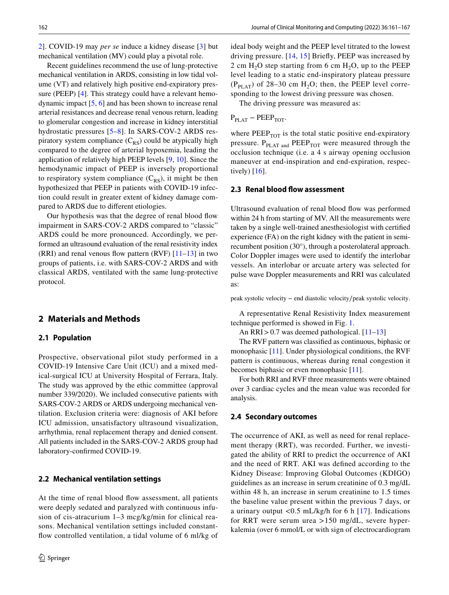[2](#page-5-1)]. COVID-19 may *per se* induce a kidney disease [[3\]](#page-5-2) but mechanical ventilation (MV) could play a pivotal role.

Recent guidelines recommend the use of lung-protective mechanical ventilation in ARDS, consisting in low tidal volume (VT) and relatively high positive end-expiratory pressure (PEEP) [[4\]](#page-5-3). This strategy could have a relevant hemodynamic impact [[5](#page-5-4), [6\]](#page-5-5) and has been shown to increase renal arterial resistances and decrease renal venous return, leading to glomerular congestion and increase in kidney interstitial hydrostatic pressures [\[5–](#page-5-4)[8\]](#page-5-6). In SARS-COV-2 ARDS respiratory system compliance  $(C_{RS})$  could be atypically high compared to the degree of arterial hypoxemia, leading the application of relatively high PEEP levels [[9,](#page-5-7) [10\]](#page-5-8). Since the hemodynamic impact of PEEP is inversely proportional to respiratory system compliance  $(C_{RS})$ , it might be then hypothesized that PEEP in patients with COVID-19 infection could result in greater extent of kidney damage compared to ARDS due to diferent etiologies.

Our hypothesis was that the degree of renal blood fow impairment in SARS-COV-2 ARDS compared to "classic" ARDS could be more pronounced. Accordingly, we performed an ultrasound evaluation of the renal resistivity index (RRI) and renal venous flow pattern (RVF)  $[11-13]$  $[11-13]$  in two groups of patients, i.e. with SARS-COV-2 ARDS and with classical ARDS, ventilated with the same lung-protective protocol.

# **2 Materials and Methods**

#### **2.1 Population**

Prospective, observational pilot study performed in a COVID-19 Intensive Care Unit (ICU) and a mixed medical-surgical ICU at University Hospital of Ferrara, Italy. The study was approved by the ethic committee (approval number 339/2020). We included consecutive patients with SARS-COV-2 ARDS or ARDS undergoing mechanical ventilation. Exclusion criteria were: diagnosis of AKI before ICU admission, unsatisfactory ultrasound visualization, arrhythmia, renal replacement therapy and denied consent. All patients included in the SARS-COV-2 ARDS group had laboratory-confrmed COVID-19.

#### **2.2 Mechanical ventilation settings**

At the time of renal blood fow assessment, all patients were deeply sedated and paralyzed with continuous infusion of cis-atracurium 1–3 mcg/kg/min for clinical reasons. Mechanical ventilation settings included constantfow controlled ventilation, a tidal volume of 6 ml/kg of ideal body weight and the PEEP level titrated to the lowest driving pressure. [\[14,](#page-5-11) [15](#page-5-12)] Briefy, PEEP was increased by 2 cm  $H_2O$  step starting from 6 cm  $H_2O$ , up to the PEEP level leading to a static end-inspiratory plateau pressure  $(P_{PIAT})$  of 28–30 cm H<sub>2</sub>O; then, the PEEP level corresponding to the lowest driving pressure was chosen.

The driving pressure was measured as:

 $P_{\text{PLAT}} - \text{PEEP}_{\text{TOT}}$ .

where  $PEEP<sub>TOT</sub>$  is the total static positive end-expiratory pressure.  $P_{PLAT and}$  PEEP<sub>TOT</sub> were measured through the occlusion technique (i.e. a 4 s airway opening occlusion maneuver at end-inspiration and end-expiration, respectively) [[16](#page-5-13)].

#### **2.3 Renal blood fow assessment**

Ultrasound evaluation of renal blood fow was performed within 24 h from starting of MV. All the measurements were taken by a single well-trained anesthesiologist with certifed experience (FA) on the right kidney with the patient in semirecumbent position (30°), through a posterolateral approach. Color Doppler images were used to identify the interlobar vessels. An interlobar or arcuate artery was selected for pulse wave Doppler measurements and RRI was calculated as:

peak systolic velocity − end diastolic velocity∕peak systolic velocity.

A representative Renal Resistivity Index measurement technique performed is showed in Fig. [1](#page-2-0).

An RRI>0.7 was deemed pathological. [[11–](#page-5-9)[13](#page-5-10)]

The RVF pattern was classifed as continuous, biphasic or monophasic [[11\]](#page-5-9). Under physiological conditions, the RVF pattern is continuous, whereas during renal congestion it becomes biphasic or even monophasic [[11\]](#page-5-9).

For both RRI and RVF three measurements were obtained over 3 cardiac cycles and the mean value was recorded for analysis.

#### **2.4 Secondary outcomes**

The occurrence of AKI, as well as need for renal replacement therapy (RRT), was recorded. Further, we investigated the ability of RRI to predict the occurrence of AKI and the need of RRT. AKI was defned according to the Kidney Disease: Improving Global Outcomes (KDIGO) guidelines as an increase in serum creatinine of 0.3 mg/dL within 48 h, an increase in serum creatinine to 1.5 times the baseline value present within the previous 7 days, or a urinary output  $< 0.5$  mL/kg/h for 6 h [[17\]](#page-5-14). Indications for RRT were serum urea >150 mg/dL, severe hyperkalemia (over 6 mmol/L or with sign of electrocardiogram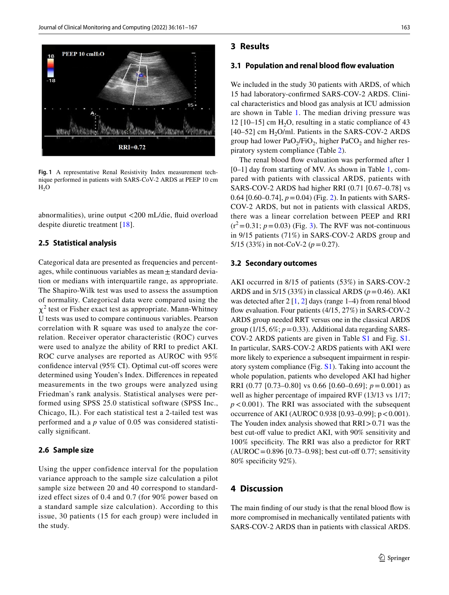

<span id="page-2-0"></span>**Fig. 1** A representative Renal Resistivity Index measurement technique performed in patients with SARS-CoV-2 ARDS at PEEP 10 cm  $H<sub>2</sub>O$ 

abnormalities), urine output <200 mL/die, fuid overload despite diuretic treatment [\[18](#page-5-15)].

#### **2.5 Statistical analysis**

Categorical data are presented as frequencies and percentages, while continuous variables as mean  $\pm$  standard deviation or medians with interquartile range, as appropriate. The Shapiro-Wilk test was used to assess the assumption of normality. Categorical data were compared using the  $\chi^2$  test or Fisher exact test as appropriate. Mann-Whitney U tests was used to compare continuous variables. Pearson correlation with R square was used to analyze the correlation. Receiver operator characteristic (ROC) curves were used to analyze the ability of RRI to predict AKI. ROC curve analyses are reported as AUROC with 95% confidence interval  $(95\% \text{ CI})$ . Optimal cut-off scores were determined using Youden's Index. Diferences in repeated measurements in the two groups were analyzed using Friedman's rank analysis. Statistical analyses were performed using SPSS 25.0 statistical software (SPSS Inc., Chicago, IL). For each statistical test a 2-tailed test was performed and a *p* value of 0.05 was considered statistically signifcant.

#### **2.6 Sample size**

Using the upper confidence interval for the population variance approach to the sample size calculation a pilot sample size between 20 and 40 correspond to standardized effect sizes of 0.4 and 0.7 (for 90% power based on a standard sample size calculation). According to this issue, 30 patients (15 for each group) were included in the study.

#### **3 Results**

#### **3.1 Population and renal blood fow evaluation**

We included in the study 30 patients with ARDS, of which 15 had laboratory-confrmed SARS-COV-2 ARDS. Clinical characteristics and blood gas analysis at ICU admission are shown in Table [1](#page-3-0). The median driving pressure was 12 [10–15] cm  $H<sub>2</sub>O$ , resulting in a static compliance of 43  $[40-52]$  cm H<sub>2</sub>O/ml. Patients in the SARS-COV-2 ARDS group had lower PaO<sub>2</sub>/FiO<sub>2</sub>, higher PaCO<sub>2</sub> and higher respiratory system compliance (Table [2\)](#page-3-1).

The renal blood flow evaluation was performed after 1 [0–1] day from starting of MV. As shown in Table [1](#page-3-0), compared with patients with classical ARDS, patients with SARS-COV-2 ARDS had higher RRI (0.71 [0.67–0.78] vs 0.64  $[0.60-0.74]$ ,  $p = 0.04$ ) (Fig. [2\)](#page-4-0). In patients with SARS-COV-2 ARDS, but not in patients with classical ARDS, there was a linear correlation between PEEP and RRI  $(r^2=0.31; p=0.03)$  $(r^2=0.31; p=0.03)$  (Fig. 3). The RVF was not-continuous in 9/15 patients (71%) in SARS-COV-2 ARDS group and 5/15 (33%) in not-CoV-2 ( $p = 0.27$ ).

#### **3.2 Secondary outcomes**

AKI occurred in 8/15 of patients (53%) in SARS-COV-2 ARDS and in 5/15 (33%) in classical ARDS ( $p = 0.46$ ). AKI was detected after  $2 \lfloor 1, 2 \rfloor$  $2 \lfloor 1, 2 \rfloor$  $2 \lfloor 1, 2 \rfloor$  $2 \lfloor 1, 2 \rfloor$  $2 \lfloor 1, 2 \rfloor$  days (range 1–4) from renal blood flow evaluation. Four patients (4/15, 27%) in SARS-COV-2 ARDS group needed RRT versus one in the classical ARDS group  $(1/15, 6\%; p=0.33)$ . Additional data regarding SARS-COV-2 ARDS patients are given in Table S1 and Fig. S1. In particular, SARS-COV-2 ARDS patients with AKI were more likely to experience a subsequent impairment in respiratory system compliance (Fig. S1). Taking into account the whole population, patients who developed AKI had higher RRI (0.77 [0.73–0.80] vs 0.66 [0.60–0.69]; *p*=0.001) as well as higher percentage of impaired RVF (13/13 vs 1/17;  $p < 0.001$ ). The RRI was associated with the subsequent occurrence of AKI (AUROC 0.938 [0.93–0.99];  $p < 0.001$ ). The Youden index analysis showed that RRI>0.71 was the best cut-off value to predict AKI, with 90% sensitivity and 100% specifcity. The RRI was also a predictor for RRT  $(AUROC = 0.896 [0.73–0.98]$ ; best cut-off 0.77; sensitivity 80% specifcity 92%).

### **4 Discussion**

The main fnding of our study is that the renal blood fow is more compromised in mechanically ventilated patients with SARS-COV-2 ARDS than in patients with classical ARDS.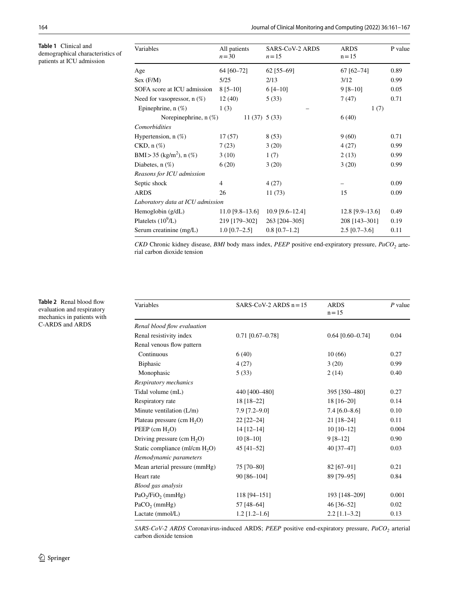<span id="page-3-0"></span>**Table 1** Clinical and demographical characteristics of patients at ICU admission

| Variables                            | All patients<br>$n = 30$ | <b>SARS-CoV-2 ARDS</b><br>$n=15$ | <b>ARDS</b><br>$n = 15$ | P value |
|--------------------------------------|--------------------------|----------------------------------|-------------------------|---------|
| Age                                  | 64 [60-72]               | $62$ [55-69]                     | 67 [62-74]              | 0.89    |
| Sex (F/M)                            | 5/25                     | 2/13                             | 3/12                    | 0.99    |
| SOFA score at ICU admission          | $8[5-10]$                | $6[4-10]$                        | $9 [8 - 10]$            | 0.05    |
| Need for vasopressor, $n$ (%)        | 12(40)                   | 5(33)                            | 7(47)                   | 0.71    |
| Epinephrine, $n$ $(\%)$              | 1(3)                     |                                  | 1(7)                    |         |
| Norepinephrine, $n$ $(\%)$           | $11(37)$ 5 (33)          |                                  | 6(40)                   |         |
| Comorbidities                        |                          |                                  |                         |         |
| Hypertension, $n$ $(\%)$             | 17(57)                   | 8(53)                            | 9(60)                   | 0.71    |
| $CKD, n(\%)$                         | 7(23)                    | 3(20)                            | 4(27)                   | 0.99    |
| BMI > 35 (kg/m <sup>2</sup> ), n (%) | 3(10)                    | 1(7)                             | 2(13)                   | 0.99    |
| Diabetes, $n(\%)$                    | 6(20)                    | 3(20)                            | 3(20)                   | 0.99    |
| Reasons for ICU admission            |                          |                                  |                         |         |
| Septic shock                         | 4                        | 4(27)                            |                         | 0.09    |
| <b>ARDS</b>                          | 26                       | 11(73)                           | 15                      | 0.09    |
| Laboratory data at ICU admission     |                          |                                  |                         |         |
| Hemoglobin $(g/dL)$                  | $11.0$ [9.8–13.6]        | $10.9$ [9.6-12.4]                | $12.8$ [9.9-13.6]       | 0.49    |
| Platelets $(10^9/L)$                 | 219 [179-302]            | 263 [204-305]                    | 208 [143-301]           | 0.19    |
| Serum creatinine (mg/L)              | $1.0$ [0.7-2.5]          | $0.8$ [0.7-1.2]                  | $2.5$ [0.7–3.6]         | 0.11    |

*CKD* Chronic kidney disease, *BMI* body mass index, *PEEP* positive end-expiratory pressure, *PaCO*<sub>2</sub> arterial carbon dioxide tension

<span id="page-3-1"></span>**Table 2** Renal blood fow evaluation and respiratory mechanics in patients with C-ARDS and ARDS

l.

| Variables                                 | SARS-CoV-2 ARDS $n=15$ | <b>ARDS</b><br>$n = 15$ | $P$ value |
|-------------------------------------------|------------------------|-------------------------|-----------|
| Renal blood flow evaluation               |                        |                         |           |
| Renal resistivity index                   | $0.71$ [0.67-0.78]     | $0.64$ [0.60-0.74]      | 0.04      |
| Renal venous flow pattern                 |                        |                         |           |
| Continuous                                | 6(40)                  | 10(66)                  | 0.27      |
| <b>Biphasic</b>                           | 4(27)                  | 3(20)                   | 0.99      |
| Monophasic                                | 5(33)                  | 2(14)                   | 0.40      |
| Respiratory mechanics                     |                        |                         |           |
| Tidal volume (mL)                         | 440 [400-480]          | 395 [350-480]           | 0.27      |
| Respiratory rate                          | 18 [18-22]             | 18 [16-20]              | 0.14      |
| Minute ventilation (L/m)                  | $7.9$ [7.2-9.0]        | $7.4$ [6.0-8.6]         | 0.10      |
| Plateau pressure (cm H <sub>2</sub> O)    | $22$ [22-24]           | $21$ [18-24]            | 0.11      |
| PEEP $(cm H2O)$                           | $14 [12 - 14]$         | $10$ [10-12]            | 0.004     |
| Driving pressure $(cm H2O)$               | $10[8-10]$             | $9[8-12]$               | 0.90      |
| Static compliance (ml/cm $H_2O$ )         | 45 $[41-52]$           | 40 [37-47]              | 0.03      |
| Hemodynamic parameters                    |                        |                         |           |
| Mean arterial pressure (mmHg)             | 75 [70-80]             | 82 [67-91]              | 0.21      |
| Heart rate                                | 90 [86-104]            | 89 [79-95]              | 0.84      |
| Blood gas analysis                        |                        |                         |           |
| PaO <sub>2</sub> /FiO <sub>2</sub> (mmHg) | 118 [94-151]           | 193 [148-209]           | 0.001     |
| $PaCO2$ (mmHg)                            | 57 [48-64]             | 46 [36-52]              | 0.02      |
| Lactate (mmol/L)                          | $1.2$ [1.2–1.6]        | $2.2$ [1.1-3.2]         | 0.13      |

*SARS-CoV-2 ARDS* Coronavirus-induced ARDS; *PEEP* positive end-expiratory pressure, *PaCO2* arterial carbon dioxide tension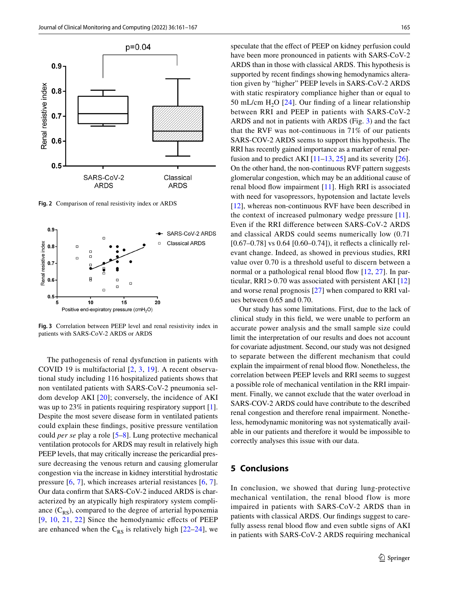

<span id="page-4-0"></span>**Fig. 2** Comparison of renal resistivity index or ARDS



<span id="page-4-1"></span>**Fig. 3** Correlation between PEEP level and renal resistivity index in patients with SARS-CoV-2 ARDS or ARDS

The pathogenesis of renal dysfunction in patients with COVID 19 is multifactorial [[2](#page-5-1), [3](#page-5-2), [19](#page-5-16)]. A recent observational study including 116 hospitalized patients shows that non ventilated patients with SARS-CoV-2 pneumonia seldom develop AKI [\[20](#page-5-17)]; conversely, the incidence of AKI was up to 23% in patients requiring respiratory support [\[1](#page-5-0)]. Despite the most severe disease form in ventilated patients could explain these fndings, positive pressure ventilation could *per se* play a role [[5–](#page-5-4)[8\]](#page-5-6). Lung protective mechanical ventilation protocols for ARDS may result in relatively high PEEP levels, that may critically increase the pericardial pressure decreasing the venous return and causing glomerular congestion via the increase in kidney interstitial hydrostatic pressure [\[6,](#page-5-5) [7](#page-5-18)], which increases arterial resistances [[6,](#page-5-5) [7](#page-5-18)]. Our data confrm that SARS-CoV-2 induced ARDS is characterized by an atypically high respiratory system compliance  $(C_{RS})$ , compared to the degree of arterial hypoxemia [[9,](#page-5-7) [10](#page-5-8), [21,](#page-5-19) [22\]](#page-5-20) Since the hemodynamic efects of PEEP are enhanced when the  $C_{RS}$  is relatively high [[22](#page-5-20)[–24\]](#page-5-21), we

speculate that the effect of PEEP on kidney perfusion could have been more pronounced in patients with SARS-CoV-2 ARDS than in those with classical ARDS. This hypothesis is supported by recent fndings showing hemodynamics alteration given by "higher" PEEP levels in SARS-CoV-2 ARDS with static respiratory compliance higher than or equal to 50 mL/cm  $H_2O$  [\[24\]](#page-5-21). Our finding of a linear relationship between RRI and PEEP in patients with SARS-CoV-2 ARDS and not in patients with ARDS (Fig. [3\)](#page-4-1) and the fact that the RVF was not-continuous in 71% of our patients SARS-COV-2 ARDS seems to support this hypothesis. The RRI has recently gained importance as a marker of renal perfusion and to predict AKI  $[11-13, 25]$  $[11-13, 25]$  $[11-13, 25]$  $[11-13, 25]$  and its severity  $[26]$  $[26]$ . On the other hand, the non-continuous RVF pattern suggests glomerular congestion, which may be an additional cause of renal blood fow impairment [\[11](#page-5-9)]. High RRI is associated with need for vasopressors, hypotension and lactate levels [[12\]](#page-5-23), whereas non-continuous RVF have been described in the context of increased pulmonary wedge pressure [[11](#page-5-9)]. Even if the RRI diference between SARS-CoV-2 ARDS and classical ARDS could seems numerically low (0.71 [ $0.67-0.78$ ] vs  $0.64$  [ $0.60-0.74$ ]), it reflects a clinically relevant change. Indeed, as showed in previous studies, RRI value over 0.70 is a threshold useful to discern between a normal or a pathological renal blood flow [[12,](#page-5-23) [27](#page-6-1)]. In particular,  $RRI > 0.70$  was associated with persistent AKI [[12\]](#page-5-23) and worse renal prognosis [[27](#page-6-1)] when compared to RRI values between 0.65 and 0.70.

Our study has some limitations. First, due to the lack of clinical study in this feld, we were unable to perform an accurate power analysis and the small sample size could limit the interpretation of our results and does not account for covariate adjustment. Second, our study was not designed to separate between the diferent mechanism that could explain the impairment of renal blood fow. Nonetheless, the correlation between PEEP levels and RRI seems to suggest a possible role of mechanical ventilation in the RRI impairment. Finally, we cannot exclude that the water overload in SARS-COV-2 ARDS could have contribute to the described renal congestion and therefore renal impairment. Nonetheless, hemodynamic monitoring was not systematically available in our patients and therefore it would be impossible to correctly analyses this issue with our data.

# **5 Conclusions**

In conclusion, we showed that during lung-protective mechanical ventilation, the renal blood flow is more impaired in patients with SARS-CoV-2 ARDS than in patients with classical ARDS. Our fndings suggest to carefully assess renal blood flow and even subtle signs of AKI in patients with SARS-CoV-2 ARDS requiring mechanical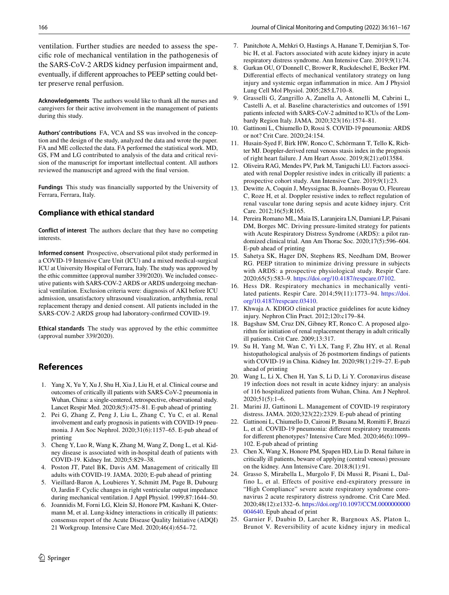ventilation. Further studies are needed to assess the specifc role of mechanical ventilation in the pathogenesis of the SARS-CoV-2 ARDS kidney perfusion impairment and, eventually, if diferent approaches to PEEP setting could better preserve renal perfusion.

**Acknowledgements** The authors would like to thank all the nurses and caregivers for their active involvement in the management of patients during this study.

**Authors' contributions** FA, VCA and SS was involved in the conception and the design of the study, analyzed the data and wrote the paper. FA and ME collected the data. FA performed the statistical work. MD, GS, FM and LG contributed to analysis of the data and critical revision of the manuscript for important intellectual content. All authors reviewed the manuscript and agreed with the fnal version.

**Fundings** This study was fnancially supported by the University of Ferrara, Ferrara, Italy.

## **Compliance with ethical standard**

**Conflict of interest** The authors declare that they have no competing interests.

**Informed consent** Prospective, observational pilot study performed in a COVID-19 Intensive Care Unit (ICU) and a mixed medical-surgical ICU at University Hospital of Ferrara, Italy. The study was approved by the ethic committee (approval number 339/2020). We included consecutive patients with SARS-COV-2 ARDS or ARDS undergoing mechanical ventilation. Exclusion criteria were: diagnosis of AKI before ICU admission, unsatisfactory ultrasound visualization, arrhythmia, renal replacement therapy and denied consent. All patients included in the SARS-COV-2 ARDS group had laboratory-confrmed COVID-19.

**Ethical standards** The study was approved by the ethic committee (approval number 339/2020).

# **References**

- <span id="page-5-0"></span>1. Yang X, Yu Y, Xu J, Shu H, Xia J, Liu H, et al. Clinical course and outcomes of critically ill patients with SARS-CoV-2 pneumonia in Wuhan, China: a single-centered, retrospective, observational study. Lancet Respir Med. 2020;8(5):475–81. E-pub ahead of printing
- <span id="page-5-1"></span>2. Pei G, Zhang Z, Peng J, Liu L, Zhang C, Yu C, et al. Renal involvement and early prognosis in patients with COVID-19 pneumonia. J Am Soc Nephrol. 2020;31(6):1157–65. E-pub ahead of printing
- <span id="page-5-2"></span>3. Cheng Y, Luo R, Wang K, Zhang M, Wang Z, Dong L, et al. Kidney disease is associated with in-hospital death of patients with COVID-19. Kidney Int. 2020;5:829–38.
- <span id="page-5-3"></span>4. Poston JT, Patel BK, Davis AM. Management of critically Ill adults with COVID-19. JAMA. 2020; E-pub ahead of printing
- <span id="page-5-4"></span>5. Vieillard-Baron A, Loubieres Y, Schmitt JM, Page B, Dubourg O, Jardin F. Cyclic changes in right ventricular output impedance during mechanical ventilation. J Appl Physiol. 1999;87:1644–50.
- <span id="page-5-5"></span>6. Joannidis M, Forni LG, Klein SJ, Honore PM, Kashani K, Ostermann M, et al. Lung-kidney interactions in critically ill patients: consensus report of the Acute Disease Quality Initiative (ADQI) 21 Workgroup. Intensive Care Med. 2020;46(4):654–72.
- <span id="page-5-18"></span>7. Panitchote A, Mehkri O, Hastings A, Hanane T, Demirjian S, Torbic H, et al. Factors associated with acute kidney injury in acute respiratory distress syndrome. Ann Intensive Care. 2019;9(1):74.
- <span id="page-5-6"></span>8. Gurkan OU, O'Donnell C, Brower R, Ruckdeschel E, Becker PM. Differential effects of mechanical ventilatory strategy on lung injury and systemic organ infammation in mice. Am J Physiol Lung Cell Mol Physiol. 2005;285:L710–8.
- <span id="page-5-7"></span>9. Grasselli G, Zangrillo A, Zanella A, Antonelli M, Cabrini L, Castelli A, et al. Baseline characteristics and outcomes of 1591 patients infected with SARS-CoV-2 admitted to ICUs of the Lombardy Region Italy. JAMA. 2020;323(16):1574–81.
- <span id="page-5-8"></span>10. Gattinoni L, Chiumello D, Rossi S. COVID-19 pneumonia: ARDS or not? Crit Care. 2020;24:154.
- <span id="page-5-9"></span>11. Husain-Syed F, Birk HW, Ronco C, Schörmann T, Tello K, Richter MJ. Doppler-derived renal venous stasis index in the prognosis of right heart failure. J Am Heart Assoc. 2019;8(21):e013584.
- <span id="page-5-23"></span>12. Oliveira RAG, Mendes PV, Park M, Taniguchi LU. Factors associated with renal Doppler resistive index in critically ill patients: a prospective cohort study. Ann Intensive Care. 2019;9(1):23.
- <span id="page-5-10"></span>13. Dewitte A, Coquin J, Meyssignac B, Joannès-Boyau O, Fleureau C, Roze H, et al. Doppler resistive index to refect regulation of renal vascular tone during sepsis and acute kidney injury. Crit Care. 2012;16(5):R165.
- <span id="page-5-11"></span>14. Pereira Romano ML, Maia IS, Laranjeira LN, Damiani LP, Paisani DM, Borges MC. Driving pressure-limited strategy for patients with Acute Respiratory Distress Syndrome (ARDS): a pilot randomized clinical trial. Ann Am Thorac Soc. 2020;17(5):596–604. E-pub ahead of printing
- <span id="page-5-12"></span>15. Sahetya SK, Hager DN, Stephens RS, Needham DM, Brower RG. PEEP titration to minimize driving pressure in subjects with ARDS: a prospective physiological study. Respir Care. 2020;65(5):583–9. [https://doi.org/10.4187/respcare.07102.](https://doi.org/10.4187/respcare.07102)
- <span id="page-5-13"></span>16. Hess DR. Respiratory mechanics in mechanically ventilated patients. Respir Care. 2014;59(11):1773–94. [https://doi.](https://doi.org/10.4187/respcare.03410) [org/10.4187/respcare.03410](https://doi.org/10.4187/respcare.03410).
- <span id="page-5-14"></span>17. Khwaja A. KDIGO clinical practice guidelines for acute kidney injury. Nephron Clin Pract. 2012;120:c179–84.
- <span id="page-5-15"></span>18. Bagshaw SM, Cruz DN, Gibney RT, Ronco C. A proposed algorithm for initiation of renal replacement therapy in adult critically ill patients. Crit Care. 2009;13:317.
- <span id="page-5-16"></span>19. Su H, Yang M, Wan C, Yi LX, Tang F, Zhu HY, et al. Renal histopathological analysis of 26 postmortem fndings of patients with COVID-19 in China. Kidney Int. 2020;98(1):219–27. E-pub ahead of printing
- <span id="page-5-17"></span>20. Wang L, Li X, Chen H, Yan S, Li D, Li Y. Coronavirus disease 19 infection does not result in acute kidney injury: an analysis of 116 hospitalized patients from Wuhan, China. Am J Nephrol. 2020;51(5):1–6.
- <span id="page-5-19"></span>21. Marini JJ, Gattinoni L. Management of COVID-19 respiratory distress. JAMA. 2020;323(22):2329. E-pub ahead of printing
- <span id="page-5-20"></span>22. Gattinoni L, Chiumello D, Caironi P, Busana M, Romitti F, Brazzi L, et al. COVID-19 pneumonia: diferent respiratory treatments for diferent phenotypes? Intensive Care Med. 2020;46(6):1099– 102. E-pub ahead of printing
- 23. Chen X, Wang X, Honore PM, Spapen HD, Liu D. Renal failure in critically ill patients, beware of applying (central venous) pressure on the kidney. Ann Intensive Care. 2018;8(1):91.
- <span id="page-5-21"></span>24. Grasso S, Mirabella L, Murgolo F, Di Mussi R, Pisani L, Dalfino L, et al. Effects of positive end-expiratory pressure in "High Compliance" severe acute respiratory syndrome coronavirus 2 acute respiratory distress syndrome. Crit Care Med. 2020;48(12):e1332–6. [https://doi.org/10.1097/CCM.0000000000](https://doi.org/10.1097/CCM.0000000000004640) [004640.](https://doi.org/10.1097/CCM.0000000000004640) Epub ahead of print
- <span id="page-5-22"></span>25. Garnier F, Daubin D, Larcher R, Bargnoux AS, Platon L, Brunot V. Reversibility of acute kidney injury in medical